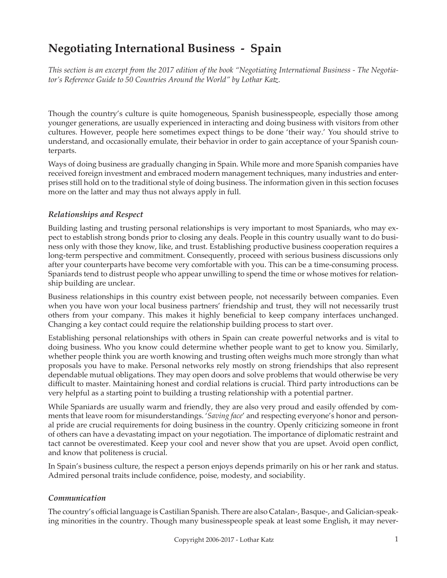# **Negotiating International Business - Spain**

*This section is an excerpt from the 2017 edition of the book "Negotiating International Business - The Negotiator's Reference Guide to 50 Countries Around the World" by Lothar Katz.*

Though the country's culture is quite homogeneous, Spanish businesspeople, especially those among younger generations, are usually experienced in interacting and doing business with visitors from other cultures. However, people here sometimes expect things to be done 'their way.' You should strive to understand, and occasionally emulate, their behavior in order to gain acceptance of your Spanish counterparts.

Ways of doing business are gradually changing in Spain. While more and more Spanish companies have received foreign investment and embraced modern management techniques, many industries and enterprises still hold on to the traditional style of doing business. The information given in this section focuses more on the latter and may thus not always apply in full.

## *Relationships and Respect*

Building lasting and trusting personal relationships is very important to most Spaniards, who may expect to establish strong bonds prior to closing any deals. People in this country usually want to do business only with those they know, like, and trust. Establishing productive business cooperation requires a long-term perspective and commitment. Consequently, proceed with serious business discussions only after your counterparts have become very comfortable with you. This can be a time-consuming process. Spaniards tend to distrust people who appear unwilling to spend the time or whose motives for relationship building are unclear.

Business relationships in this country exist between people, not necessarily between companies. Even when you have won your local business partners' friendship and trust, they will not necessarily trust others from your company. This makes it highly beneficial to keep company interfaces unchanged. Changing a key contact could require the relationship building process to start over.

Establishing personal relationships with others in Spain can create powerful networks and is vital to doing business. Who you know could determine whether people want to get to know you. Similarly, whether people think you are worth knowing and trusting often weighs much more strongly than what proposals you have to make. Personal networks rely mostly on strong friendships that also represent dependable mutual obligations. They may open doors and solve problems that would otherwise be very difficult to master. Maintaining honest and cordial relations is crucial. Third party introductions can be very helpful as a starting point to building a trusting relationship with a potential partner.

While Spaniards are usually warm and friendly, they are also very proud and easily offended by comments that leave room for misunderstandings. '*Saving face*' and respecting everyone's honor and personal pride are crucial requirements for doing business in the country. Openly criticizing someone in front of others can have a devastating impact on your negotiation. The importance of diplomatic restraint and tact cannot be overestimated. Keep your cool and never show that you are upset. Avoid open conflict, and know that politeness is crucial.

In Spain's business culture, the respect a person enjoys depends primarily on his or her rank and status. Admired personal traits include confidence, poise, modesty, and sociability.

## *Communication*

The country's official language is Castilian Spanish. There are also Catalan-, Basque-, and Galician-speaking minorities in the country. Though many businesspeople speak at least some English, it may never-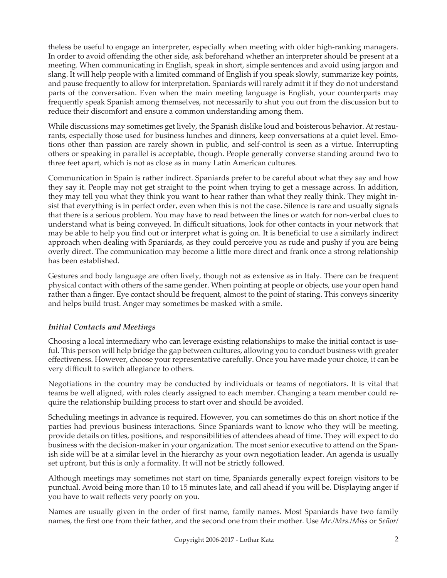theless be useful to engage an interpreter, especially when meeting with older high-ranking managers. In order to avoid offending the other side, ask beforehand whether an interpreter should be present at a meeting. When communicating in English, speak in short, simple sentences and avoid using jargon and slang. It will help people with a limited command of English if you speak slowly, summarize key points, and pause frequently to allow for interpretation. Spaniards will rarely admit it if they do not understand parts of the conversation. Even when the main meeting language is English, your counterparts may frequently speak Spanish among themselves, not necessarily to shut you out from the discussion but to reduce their discomfort and ensure a common understanding among them.

While discussions may sometimes get lively, the Spanish dislike loud and boisterous behavior. At restaurants, especially those used for business lunches and dinners, keep conversations at a quiet level. Emotions other than passion are rarely shown in public, and self-control is seen as a virtue. Interrupting others or speaking in parallel is acceptable, though. People generally converse standing around two to three feet apart, which is not as close as in many Latin American cultures.

Communication in Spain is rather indirect. Spaniards prefer to be careful about what they say and how they say it. People may not get straight to the point when trying to get a message across. In addition, they may tell you what they think you want to hear rather than what they really think. They might insist that everything is in perfect order, even when this is not the case. Silence is rare and usually signals that there is a serious problem. You may have to read between the lines or watch for non-verbal clues to understand what is being conveyed. In difficult situations, look for other contacts in your network that may be able to help you find out or interpret what is going on. It is beneficial to use a similarly indirect approach when dealing with Spaniards, as they could perceive you as rude and pushy if you are being overly direct. The communication may become a little more direct and frank once a strong relationship has been established.

Gestures and body language are often lively, though not as extensive as in Italy. There can be frequent physical contact with others of the same gender. When pointing at people or objects, use your open hand rather than a finger. Eye contact should be frequent, almost to the point of staring. This conveys sincerity and helps build trust. Anger may sometimes be masked with a smile.

## *Initial Contacts and Meetings*

Choosing a local intermediary who can leverage existing relationships to make the initial contact is useful. This person will help bridge the gap between cultures, allowing you to conduct business with greater effectiveness. However, choose your representative carefully. Once you have made your choice, it can be very difficult to switch allegiance to others.

Negotiations in the country may be conducted by individuals or teams of negotiators. It is vital that teams be well aligned, with roles clearly assigned to each member. Changing a team member could require the relationship building process to start over and should be avoided.

Scheduling meetings in advance is required. However, you can sometimes do this on short notice if the parties had previous business interactions. Since Spaniards want to know who they will be meeting, provide details on titles, positions, and responsibilities of attendees ahead of time. They will expect to do business with the decision-maker in your organization. The most senior executive to attend on the Spanish side will be at a similar level in the hierarchy as your own negotiation leader. An agenda is usually set upfront, but this is only a formality. It will not be strictly followed.

Although meetings may sometimes not start on time, Spaniards generally expect foreign visitors to be punctual. Avoid being more than 10 to 15 minutes late, and call ahead if you will be. Displaying anger if you have to wait reflects very poorly on you.

Names are usually given in the order of first name, family names. Most Spaniards have two family names, the first one from their father, and the second one from their mother. Use *Mr./Mrs./Miss* or *Señor/*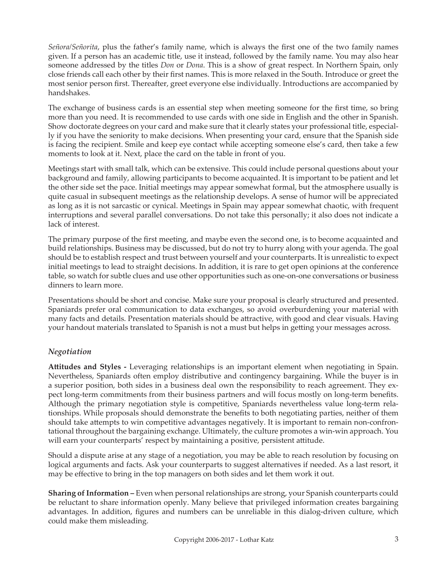*Señora/Señorita*, plus the father's family name, which is always the first one of the two family names given. If a person has an academic title, use it instead, followed by the family name. You may also hear someone addressed by the titles *Don* or *Dona*. This is a show of great respect. In Northern Spain, only close friends call each other by their first names. This is more relaxed in the South. Introduce or greet the most senior person first. Thereafter, greet everyone else individually. Introductions are accompanied by handshakes.

The exchange of business cards is an essential step when meeting someone for the first time, so bring more than you need. It is recommended to use cards with one side in English and the other in Spanish. Show doctorate degrees on your card and make sure that it clearly states your professional title, especially if you have the seniority to make decisions. When presenting your card, ensure that the Spanish side is facing the recipient. Smile and keep eye contact while accepting someone else's card, then take a few moments to look at it. Next, place the card on the table in front of you.

Meetings start with small talk, which can be extensive. This could include personal questions about your background and family, allowing participants to become acquainted. It is important to be patient and let the other side set the pace. Initial meetings may appear somewhat formal, but the atmosphere usually is quite casual in subsequent meetings as the relationship develops. A sense of humor will be appreciated as long as it is not sarcastic or cynical. Meetings in Spain may appear somewhat chaotic, with frequent interruptions and several parallel conversations. Do not take this personally; it also does not indicate a lack of interest.

The primary purpose of the first meeting, and maybe even the second one, is to become acquainted and build relationships. Business may be discussed, but do not try to hurry along with your agenda. The goal should be to establish respect and trust between yourself and your counterparts. It is unrealistic to expect initial meetings to lead to straight decisions. In addition, it is rare to get open opinions at the conference table, so watch for subtle clues and use other opportunities such as one-on-one conversations or business dinners to learn more.

Presentations should be short and concise. Make sure your proposal is clearly structured and presented. Spaniards prefer oral communication to data exchanges, so avoid overburdening your material with many facts and details. Presentation materials should be attractive, with good and clear visuals. Having your handout materials translated to Spanish is not a must but helps in getting your messages across.

## *Negotiation*

**Attitudes and Styles -** Leveraging relationships is an important element when negotiating in Spain. Nevertheless, Spaniards often employ distributive and contingency bargaining. While the buyer is in a superior position, both sides in a business deal own the responsibility to reach agreement. They expect long-term commitments from their business partners and will focus mostly on long-term benefits. Although the primary negotiation style is competitive, Spaniards nevertheless value long-term relationships. While proposals should demonstrate the benefits to both negotiating parties, neither of them should take attempts to win competitive advantages negatively. It is important to remain non-confrontational throughout the bargaining exchange. Ultimately, the culture promotes a win-win approach. You will earn your counterparts' respect by maintaining a positive, persistent attitude.

Should a dispute arise at any stage of a negotiation, you may be able to reach resolution by focusing on logical arguments and facts. Ask your counterparts to suggest alternatives if needed. As a last resort, it may be effective to bring in the top managers on both sides and let them work it out.

**Sharing of Information –** Even when personal relationships are strong, your Spanish counterparts could be reluctant to share information openly. Many believe that privileged information creates bargaining advantages. In addition, figures and numbers can be unreliable in this dialog-driven culture, which could make them misleading.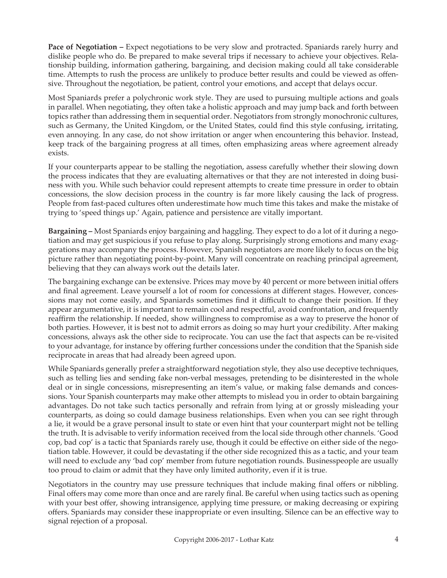**Pace of Negotiation – Expect negotiations to be very slow and protracted. Spaniards rarely hurry and** dislike people who do. Be prepared to make several trips if necessary to achieve your objectives. Relationship building, information gathering, bargaining, and decision making could all take considerable time. Attempts to rush the process are unlikely to produce better results and could be viewed as offensive. Throughout the negotiation, be patient, control your emotions, and accept that delays occur.

Most Spaniards prefer a polychronic work style. They are used to pursuing multiple actions and goals in parallel. When negotiating, they often take a holistic approach and may jump back and forth between topics rather than addressing them in sequential order. Negotiators from strongly monochronic cultures, such as Germany, the United Kingdom, or the United States, could find this style confusing, irritating, even annoying. In any case, do not show irritation or anger when encountering this behavior. Instead, keep track of the bargaining progress at all times, often emphasizing areas where agreement already exists.

If your counterparts appear to be stalling the negotiation, assess carefully whether their slowing down the process indicates that they are evaluating alternatives or that they are not interested in doing business with you. While such behavior could represent attempts to create time pressure in order to obtain concessions, the slow decision process in the country is far more likely causing the lack of progress. People from fast-paced cultures often underestimate how much time this takes and make the mistake of trying to 'speed things up.' Again, patience and persistence are vitally important.

**Bargaining –** Most Spaniards enjoy bargaining and haggling. They expect to do a lot of it during a negotiation and may get suspicious if you refuse to play along. Surprisingly strong emotions and many exaggerations may accompany the process. However, Spanish negotiators are more likely to focus on the big picture rather than negotiating point-by-point. Many will concentrate on reaching principal agreement, believing that they can always work out the details later.

The bargaining exchange can be extensive. Prices may move by 40 percent or more between initial offers and final agreement. Leave yourself a lot of room for concessions at different stages. However, concessions may not come easily, and Spaniards sometimes find it difficult to change their position. If they appear argumentative, it is important to remain cool and respectful, avoid confrontation, and frequently reaffirm the relationship. If needed, show willingness to compromise as a way to preserve the honor of both parties. However, it is best not to admit errors as doing so may hurt your credibility. After making concessions, always ask the other side to reciprocate. You can use the fact that aspects can be re-visited to your advantage, for instance by offering further concessions under the condition that the Spanish side reciprocate in areas that had already been agreed upon.

While Spaniards generally prefer a straightforward negotiation style, they also use deceptive techniques, such as telling lies and sending fake non-verbal messages, pretending to be disinterested in the whole deal or in single concessions, misrepresenting an item's value, or making false demands and concessions. Your Spanish counterparts may make other attempts to mislead you in order to obtain bargaining advantages. Do not take such tactics personally and refrain from lying at or grossly misleading your counterparts, as doing so could damage business relationships. Even when you can see right through a lie, it would be a grave personal insult to state or even hint that your counterpart might not be telling the truth. It is advisable to verify information received from the local side through other channels. 'Good cop, bad cop' is a tactic that Spaniards rarely use, though it could be effective on either side of the negotiation table. However, it could be devastating if the other side recognized this as a tactic, and your team will need to exclude any 'bad cop' member from future negotiation rounds. Businesspeople are usually too proud to claim or admit that they have only limited authority, even if it is true.

Negotiators in the country may use pressure techniques that include making final offers or nibbling. Final offers may come more than once and are rarely final. Be careful when using tactics such as opening with your best offer, showing intransigence, applying time pressure, or making decreasing or expiring offers. Spaniards may consider these inappropriate or even insulting. Silence can be an effective way to signal rejection of a proposal.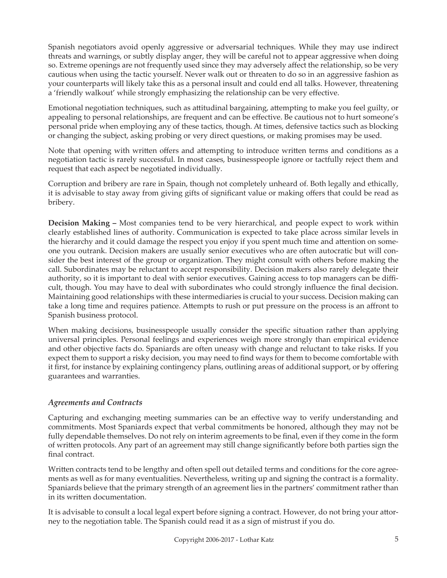Spanish negotiators avoid openly aggressive or adversarial techniques. While they may use indirect threats and warnings, or subtly display anger, they will be careful not to appear aggressive when doing so. Extreme openings are not frequently used since they may adversely affect the relationship, so be very cautious when using the tactic yourself. Never walk out or threaten to do so in an aggressive fashion as your counterparts will likely take this as a personal insult and could end all talks. However, threatening a 'friendly walkout' while strongly emphasizing the relationship can be very effective.

Emotional negotiation techniques, such as attitudinal bargaining, attempting to make you feel guilty, or appealing to personal relationships, are frequent and can be effective. Be cautious not to hurt someone's personal pride when employing any of these tactics, though. At times, defensive tactics such as blocking or changing the subject, asking probing or very direct questions, or making promises may be used.

Note that opening with written offers and attempting to introduce written terms and conditions as a negotiation tactic is rarely successful. In most cases, businesspeople ignore or tactfully reject them and request that each aspect be negotiated individually.

Corruption and bribery are rare in Spain, though not completely unheard of. Both legally and ethically, it is advisable to stay away from giving gifts of significant value or making offers that could be read as bribery.

**Decision Making –** Most companies tend to be very hierarchical, and people expect to work within clearly established lines of authority. Communication is expected to take place across similar levels in the hierarchy and it could damage the respect you enjoy if you spent much time and attention on someone you outrank. Decision makers are usually senior executives who are often autocratic but will consider the best interest of the group or organization. They might consult with others before making the call. Subordinates may be reluctant to accept responsibility. Decision makers also rarely delegate their authority, so it is important to deal with senior executives. Gaining access to top managers can be difficult, though. You may have to deal with subordinates who could strongly influence the final decision. Maintaining good relationships with these intermediaries is crucial to your success. Decision making can take a long time and requires patience. Attempts to rush or put pressure on the process is an affront to Spanish business protocol.

When making decisions, businesspeople usually consider the specific situation rather than applying universal principles. Personal feelings and experiences weigh more strongly than empirical evidence and other objective facts do. Spaniards are often uneasy with change and reluctant to take risks. If you expect them to support a risky decision, you may need to find ways for them to become comfortable with it first, for instance by explaining contingency plans, outlining areas of additional support, or by offering guarantees and warranties.

## *Agreements and Contracts*

Capturing and exchanging meeting summaries can be an effective way to verify understanding and commitments. Most Spaniards expect that verbal commitments be honored, although they may not be fully dependable themselves. Do not rely on interim agreements to be final, even if they come in the form of written protocols. Any part of an agreement may still change significantly before both parties sign the final contract.

Written contracts tend to be lengthy and often spell out detailed terms and conditions for the core agreements as well as for many eventualities. Nevertheless, writing up and signing the contract is a formality. Spaniards believe that the primary strength of an agreement lies in the partners' commitment rather than in its written documentation.

It is advisable to consult a local legal expert before signing a contract. However, do not bring your attorney to the negotiation table. The Spanish could read it as a sign of mistrust if you do.